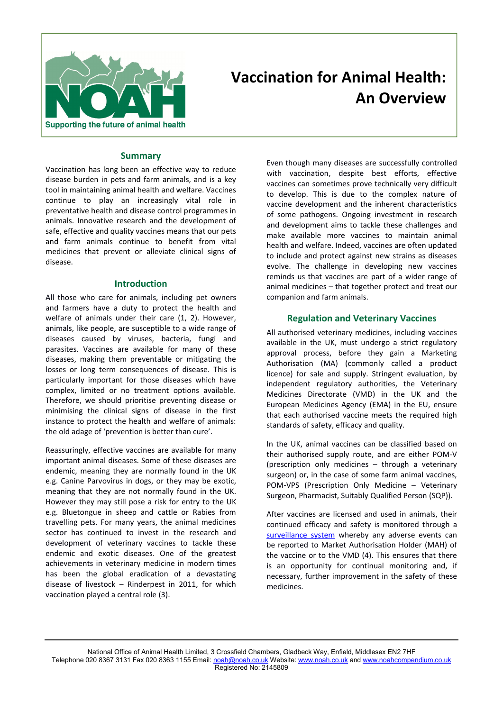

# **Vaccination for Animal Health: An Overview**

# **Summary**

Vaccination has long been an effective way to reduce disease burden in pets and farm animals, and is a key tool in maintaining animal health and welfare. Vaccines continue to play an increasingly vital role in preventative health and disease control programmes in animals. Innovative research and the development of safe, effective and quality vaccines means that our pets and farm animals continue to benefit from vital medicines that prevent or alleviate clinical signs of disease.

#### **Introduction**

All those who care for animals, including pet owners and farmers have a duty to protect the health and welfare of animals under their care (1, 2). However, animals, like people, are susceptible to a wide range of diseases caused by viruses, bacteria, fungi and parasites. Vaccines are available for many of these diseases, making them preventable or mitigating the losses or long term consequences of disease. This is particularly important for those diseases which have complex, limited or no treatment options available. Therefore, we should prioritise preventing disease or minimising the clinical signs of disease in the first instance to protect the health and welfare of animals: the old adage of 'prevention is better than cure'.

Reassuringly, effective vaccines are available for many important animal diseases. Some of these diseases are endemic, meaning they are normally found in the UK e.g. Canine Parvovirus in dogs, or they may be exotic, meaning that they are not normally found in the UK. However they may still pose a risk for entry to the UK e.g. Bluetongue in sheep and cattle or Rabies from travelling pets. For many years, the animal medicines sector has continued to invest in the research and development of veterinary vaccines to tackle these endemic and exotic diseases. One of the greatest achievements in veterinary medicine in modern times has been the global eradication of a devastating disease of livestock – Rinderpest in 2011, for which vaccination played a central role (3).

Even though many diseases are successfully controlled with vaccination, despite best efforts, effective vaccines can sometimes prove technically very difficult to develop. This is due to the complex nature of vaccine development and the inherent characteristics of some pathogens. Ongoing investment in research and development aims to tackle these challenges and make available more vaccines to maintain animal health and welfare. Indeed, vaccines are often updated to include and protect against new strains as diseases evolve. The challenge in developing new vaccines reminds us that vaccines are part of a wider range of animal medicines – that together protect and treat our companion and farm animals.

## **Regulation and Veterinary Vaccines**

All authorised veterinary medicines, including vaccines available in the UK, must undergo a strict regulatory approval process, before they gain a Marketing Authorisation (MA) (commonly called a product licence) for sale and supply. Stringent evaluation, by independent regulatory authorities, the Veterinary Medicines Directorate (VMD) in the UK and the European Medicines Agency (EMA) in the EU, ensure that each authorised vaccine meets the required high standards of safety, efficacy and quality.

In the UK, animal vaccines can be classified based on their authorised supply route, and are either POM-V (prescription only medicines – through a veterinary surgeon) or, in the case of some farm animal vaccines, POM-VPS (Prescription Only Medicine – Veterinary Surgeon, Pharmacist, Suitably Qualified Person (SQP)).

After vaccines are licensed and used in animals, their continued efficacy and safety is monitored through a surveillance system whereby any adverse events can be reported to Market Authorisation Holder (MAH) of the vaccine or to the VMD (4). This ensures that there is an opportunity for continual monitoring and, if necessary, further improvement in the safety of these medicines.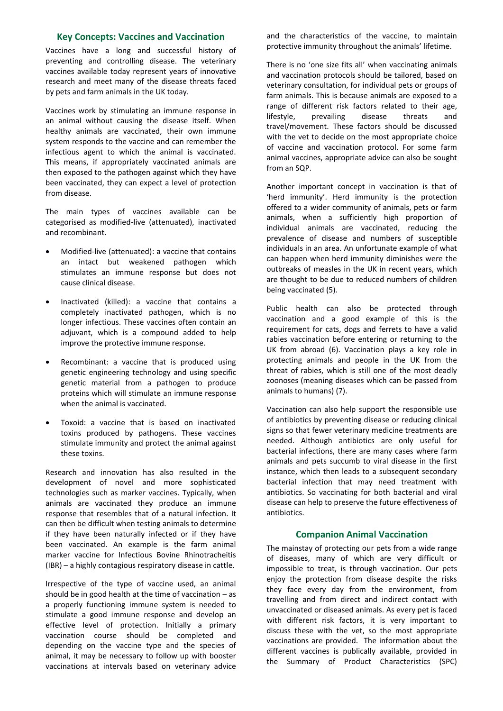# **Key Concepts: Vaccines and Vaccination**

Vaccines have a long and successful history of preventing and controlling disease. The veterinary vaccines available today represent years of innovative research and meet many of the disease threats faced by pets and farm animals in the UK today.

Vaccines work by stimulating an immune response in an animal without causing the disease itself. When healthy animals are vaccinated, their own immune system responds to the vaccine and can remember the infectious agent to which the animal is vaccinated. This means, if appropriately vaccinated animals are then exposed to the pathogen against which they have been vaccinated, they can expect a level of protection from disease.

The main types of vaccines available can be categorised as modified-live (attenuated), inactivated and recombinant.

- Modified-live (attenuated): a vaccine that contains an intact but weakened pathogen which stimulates an immune response but does not cause clinical disease.
- Inactivated (killed): a vaccine that contains a completely inactivated pathogen, which is no longer infectious. These vaccines often contain an adjuvant, which is a compound added to help improve the protective immune response.
- Recombinant: a vaccine that is produced using genetic engineering technology and using specific genetic material from a pathogen to produce proteins which will stimulate an immune response when the animal is vaccinated.
- Toxoid: a vaccine that is based on inactivated toxins produced by pathogens. These vaccines stimulate immunity and protect the animal against these toxins.

Research and innovation has also resulted in the development of novel and more sophisticated technologies such as marker vaccines. Typically, when animals are vaccinated they produce an immune response that resembles that of a natural infection. It can then be difficult when testing animals to determine if they have been naturally infected or if they have been vaccinated. An example is the farm animal marker vaccine for Infectious Bovine Rhinotracheitis (IBR) – a highly contagious respiratory disease in cattle.

Irrespective of the type of vaccine used, an animal should be in good health at the time of vaccination – as a properly functioning immune system is needed to stimulate a good immune response and develop an effective level of protection. Initially a primary vaccination course should be completed and depending on the vaccine type and the species of animal, it may be necessary to follow up with booster vaccinations at intervals based on veterinary advice

and the characteristics of the vaccine, to maintain protective immunity throughout the animals' lifetime.

There is no 'one size fits all' when vaccinating animals and vaccination protocols should be tailored, based on veterinary consultation, for individual pets or groups of farm animals. This is because animals are exposed to a range of different risk factors related to their age, lifestyle, prevailing disease threats and travel/movement. These factors should be discussed with the vet to decide on the most appropriate choice of vaccine and vaccination protocol. For some farm animal vaccines, appropriate advice can also be sought from an SQP.

Another important concept in vaccination is that of 'herd immunity'. Herd immunity is the protection offered to a wider community of animals, pets or farm animals, when a sufficiently high proportion of individual animals are vaccinated, reducing the prevalence of disease and numbers of susceptible individuals in an area. An unfortunate example of what can happen when herd immunity diminishes were the outbreaks of measles in the UK in recent years, which are thought to be due to reduced numbers of children being vaccinated (5).

Public health can also be protected through vaccination and a good example of this is the requirement for cats, dogs and ferrets to have a valid rabies vaccination before entering or returning to the UK from abroad (6). Vaccination plays a key role in protecting animals and people in the UK from the threat of rabies, which is still one of the most deadly zoonoses (meaning diseases which can be passed from animals to humans) (7).

Vaccination can also help support the responsible use of antibiotics by preventing disease or reducing clinical signs so that fewer veterinary medicine treatments are needed. Although antibiotics are only useful for bacterial infections, there are many cases where farm animals and pets succumb to viral disease in the first instance, which then leads to a subsequent secondary bacterial infection that may need treatment with antibiotics. So vaccinating for both bacterial and viral disease can help to preserve the future effectiveness of antibiotics.

#### **Companion Animal Vaccination**

The mainstay of protecting our pets from a wide range of diseases, many of which are very difficult or impossible to treat, is through vaccination. Our pets enjoy the protection from disease despite the risks they face every day from the environment, from travelling and from direct and indirect contact with unvaccinated or diseased animals. As every pet is faced with different risk factors, it is very important to discuss these with the vet, so the most appropriate vaccinations are provided. The information about the different vaccines is publically available, provided in the Summary of Product Characteristics (SPC)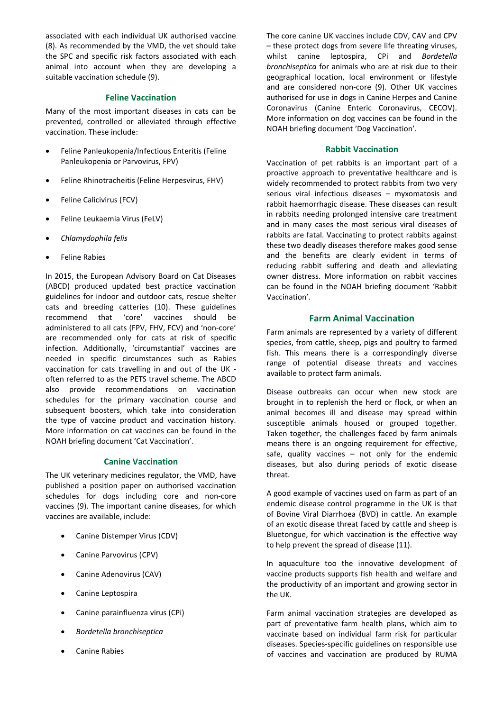associated with each individual UK authorised vaccine (8). As recommended by the VMD, the vet should take the SPC and specific risk factors associated with each animal into account when they are developing a suitable vaccination schedule (9).

# **Feline Vaccination**

Many of the most important diseases in cats can be prevented, controlled or alleviated through effective vaccination. These include:

- Feline Panleukopenia/Infectious Enteritis (Feline Panleukopenia or Parvovirus, FPV)
- Feline Rhinotracheitis (Feline Herpesvirus, FHV)
- Feline Calicivirus (FCV)
- Feline Leukaemia Virus (FeLV)
- *Chlamydophila felis*
- Feline Rabies

In 2015, the European Advisory Board on Cat Diseases (ABCD) produced updated best practice vaccination guidelines for indoor and outdoor cats, rescue shelter cats and breeding catteries (10). These guidelines recommend that 'core' vaccines should be administered to all cats (FPV, FHV, FCV) and 'non-core' are recommended only for cats at risk of specific infection. Additionally, 'circumstantial' vaccines are needed in specific circumstances such as Rabies vaccination for cats travelling in and out of the UK often referred to as the PETS travel scheme. The ABCD also provide recommendations on vaccination schedules for the primary vaccination course and subsequent boosters, which take into consideration the type of vaccine product and vaccination history. More information on cat vaccines can be found in the NOAH briefing document 'Cat Vaccination'.

## **Canine Vaccination**

The UK veterinary medicines regulator, the VMD, have published a position paper on authorised vaccination schedules for dogs including core and non-core vaccines (9). The important canine diseases, for which vaccines are available, include:

- Canine Distemper Virus (CDV)
- Canine Parvovirus (CPV)
- Canine Adenovirus (CAV)
- Canine Leptospira
- Canine parainfluenza virus (CPi)
- *Bordetella bronchiseptica*
- Canine Rabies

The core canine UK vaccines include CDV, CAV and CPV – these protect dogs from severe life threating viruses, whilst canine leptospira, CPi and *Bordetella bronchiseptica* for animals who are at risk due to their geographical location, local environment or lifestyle and are considered non-core (9). Other UK vaccines authorised for use in dogs in Canine Herpes and Canine Coronavirus (Canine Enteric Coronavirus, CECOV). More information on dog vaccines can be found in the NOAH briefing document 'Dog Vaccination'.

## **Rabbit Vaccination**

Vaccination of pet rabbits is an important part of a proactive approach to preventative healthcare and is widely recommended to protect rabbits from two very serious viral infectious diseases – myxomatosis and rabbit haemorrhagic disease. These diseases can result in rabbits needing prolonged intensive care treatment and in many cases the most serious viral diseases of rabbits are fatal. Vaccinating to protect rabbits against these two deadly diseases therefore makes good sense and the benefits are clearly evident in terms of reducing rabbit suffering and death and alleviating owner distress. More information on rabbit vaccines can be found in the NOAH briefing document 'Rabbit Vaccination'.

# **Farm Animal Vaccination**

Farm animals are represented by a variety of different species, from cattle, sheep, pigs and poultry to farmed fish. This means there is a correspondingly diverse range of potential disease threats and vaccines available to protect farm animals.

Disease outbreaks can occur when new stock are brought in to replenish the herd or flock, or when an animal becomes ill and disease may spread within susceptible animals housed or grouped together. Taken together, the challenges faced by farm animals means there is an ongoing requirement for effective, safe, quality vaccines  $-$  not only for the endemic diseases, but also during periods of exotic disease threat.

A good example of vaccines used on farm as part of an endemic disease control programme in the UK is that of Bovine Viral Diarrhoea (BVD) in cattle. An example of an exotic disease threat faced by cattle and sheep is Bluetongue, for which vaccination is the effective way to help prevent the spread of disease (11).

In aquaculture too the innovative development of vaccine products supports fish health and welfare and the productivity of an important and growing sector in the UK.

Farm animal vaccination strategies are developed as part of preventative farm health plans, which aim to vaccinate based on individual farm risk for particular diseases. Species-specific guidelines on responsible use of vaccines and vaccination are produced by RUMA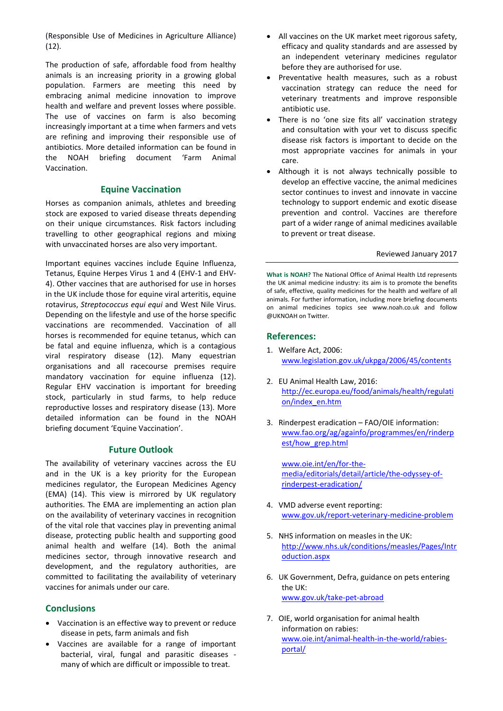(Responsible Use of Medicines in Agriculture Alliance) (12).

The production of safe, affordable food from healthy animals is an increasing priority in a growing global population. Farmers are meeting this need by embracing animal medicine innovation to improve health and welfare and prevent losses where possible. The use of vaccines on farm is also becoming increasingly important at a time when farmers and vets are refining and improving their responsible use of antibiotics. More detailed information can be found in the NOAH briefing document 'Farm Animal Vaccination.

## **Equine Vaccination**

Horses as companion animals, athletes and breeding stock are exposed to varied disease threats depending on their unique circumstances. Risk factors including travelling to other geographical regions and mixing with unvaccinated horses are also very important.

Important equines vaccines include Equine Influenza, Tetanus, Equine Herpes Virus 1 and 4 (EHV-1 and EHV-4). Other vaccines that are authorised for use in horses in the UK include those for equine viral arteritis, equine rotavirus, *Streptococcus equi equi* and West Nile Virus. Depending on the lifestyle and use of the horse specific vaccinations are recommended. Vaccination of all horses is recommended for equine tetanus, which can be fatal and equine influenza, which is a contagious viral respiratory disease (12). Many equestrian organisations and all racecourse premises require mandatory vaccination for equine influenza (12). Regular EHV vaccination is important for breeding stock, particularly in stud farms, to help reduce reproductive losses and respiratory disease (13). More detailed information can be found in the NOAH briefing document 'Equine Vaccination'.

## **Future Outlook**

The availability of veterinary vaccines across the EU and in the UK is a key priority for the European medicines regulator, the European Medicines Agency (EMA) (14). This view is mirrored by UK regulatory authorities. The EMA are implementing an action plan on the availability of veterinary vaccines in recognition of the vital role that vaccines play in preventing animal disease, protecting public health and supporting good animal health and welfare (14). Both the animal medicines sector, through innovative research and development, and the regulatory authorities, are committed to facilitating the availability of veterinary vaccines for animals under our care.

## **Conclusions**

- Vaccination is an effective way to prevent or reduce disease in pets, farm animals and fish
- Vaccines are available for a range of important bacterial, viral, fungal and parasitic diseases many of which are difficult or impossible to treat.
- All vaccines on the UK market meet rigorous safety, efficacy and quality standards and are assessed by an independent veterinary medicines regulator before they are authorised for use.
- Preventative health measures, such as a robust vaccination strategy can reduce the need for veterinary treatments and improve responsible antibiotic use.
- There is no 'one size fits all' vaccination strategy and consultation with your vet to discuss specific disease risk factors is important to decide on the most appropriate vaccines for animals in your care.
- Although it is not always technically possible to develop an effective vaccine, the animal medicines sector continues to invest and innovate in vaccine technology to support endemic and exotic disease prevention and control. Vaccines are therefore part of a wider range of animal medicines available to prevent or treat disease.

#### Reviewed January 2017

**What is NOAH?** The National Office of Animal Health Ltd represents the UK animal medicine industry: its aim is to promote the benefits of safe, effective, quality medicines for the health and welfare of all animals. For further information, including more briefing documents on animal medicines topics see www.noah.co.uk and follow @UKNOAH on Twitter.

## **References:**

- 1. Welfare Act, 2006: www.legislation.gov.uk/ukpga/2006/45/contents
- 2. EU Animal Health Law, 2016: http://ec.europa.eu/food/animals/health/regulati on/index\_en.htm
- 3. Rinderpest eradication FAO/OIE information: www.fao.org/ag/againfo/programmes/en/rinderp est/how\_grep.html

www.oie.int/en/for-themedia/editorials/detail/article/the-odyssey-ofrinderpest-eradication/

- 4. VMD adverse event reporting: www.gov.uk/report-veterinary-medicine-problem
- 5. NHS information on measles in the UK: http://www.nhs.uk/conditions/measles/Pages/Intr oduction.aspx
- 6. UK Government, Defra, guidance on pets entering the UK: www.gov.uk/take-pet-abroad
- 7. OIE, world organisation for animal health information on rabies: www.oie.int/animal-health-in-the-world/rabiesportal/